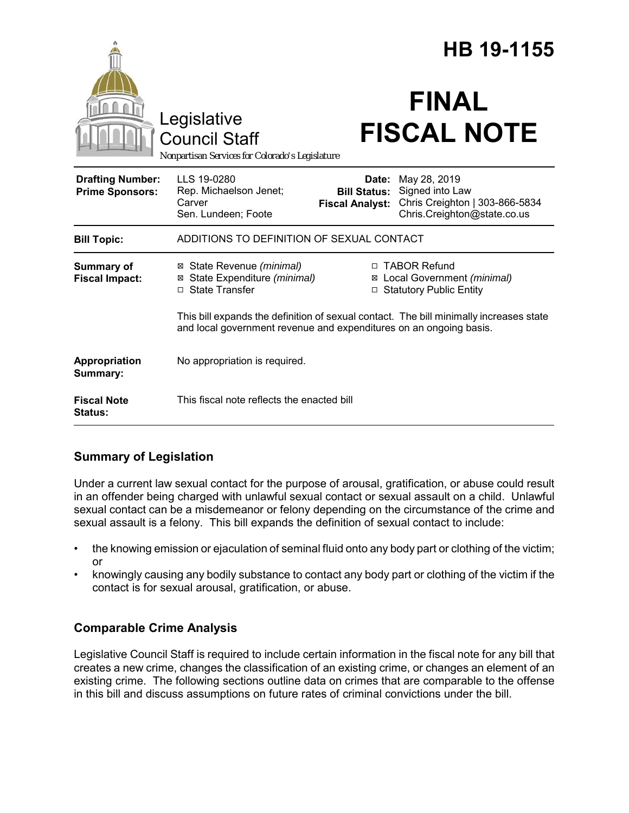|                                                   |                                                                                                                                                              | HB 19-1155                                    |                                                                                                        |
|---------------------------------------------------|--------------------------------------------------------------------------------------------------------------------------------------------------------------|-----------------------------------------------|--------------------------------------------------------------------------------------------------------|
|                                                   | Legislative<br><b>Council Staff</b><br>Nonpartisan Services for Colorado's Legislature                                                                       |                                               | <b>FINAL</b><br><b>FISCAL NOTE</b>                                                                     |
| <b>Drafting Number:</b><br><b>Prime Sponsors:</b> | LLS 19-0280<br>Rep. Michaelson Jenet;<br>Carver<br>Sen. Lundeen; Foote                                                                                       | <b>Bill Status:</b><br><b>Fiscal Analyst:</b> | Date: May 28, 2019<br>Signed into Law<br>Chris Creighton   303-866-5834<br>Chris.Creighton@state.co.us |
| <b>Bill Topic:</b>                                | ADDITIONS TO DEFINITION OF SEXUAL CONTACT                                                                                                                    |                                               |                                                                                                        |
| <b>Summary of</b><br><b>Fiscal Impact:</b>        | ⊠ State Revenue (minimal)<br>⊠ State Expenditure (minimal)<br>□ State Transfer                                                                               |                                               | □ TABOR Refund<br>⊠ Local Government (minimal)<br>□ Statutory Public Entity                            |
|                                                   | This bill expands the definition of sexual contact. The bill minimally increases state<br>and local government revenue and expenditures on an ongoing basis. |                                               |                                                                                                        |
| Appropriation<br>Summary:                         | No appropriation is required.                                                                                                                                |                                               |                                                                                                        |
| <b>Fiscal Note</b><br>Status:                     | This fiscal note reflects the enacted bill                                                                                                                   |                                               |                                                                                                        |

# **Summary of Legislation**

Under a current law sexual contact for the purpose of arousal, gratification, or abuse could result in an offender being charged with unlawful sexual contact or sexual assault on a child. Unlawful sexual contact can be a misdemeanor or felony depending on the circumstance of the crime and sexual assault is a felony. This bill expands the definition of sexual contact to include:

- the knowing emission or ejaculation of seminal fluid onto any body part or clothing of the victim; or
- knowingly causing any bodily substance to contact any body part or clothing of the victim if the contact is for sexual arousal, gratification, or abuse.

# **Comparable Crime Analysis**

Legislative Council Staff is required to include certain information in the fiscal note for any bill that creates a new crime, changes the classification of an existing crime, or changes an element of an existing crime. The following sections outline data on crimes that are comparable to the offense in this bill and discuss assumptions on future rates of criminal convictions under the bill.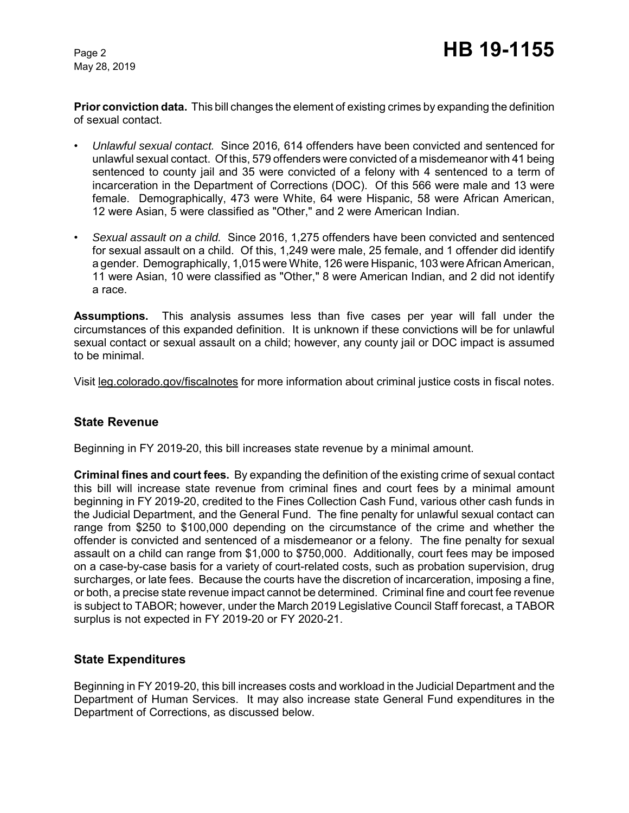May 28, 2019

**Prior conviction data.** This bill changes the element of existing crimes by expanding the definition of sexual contact.

- *Unlawful sexual contact.* Since 2016*,* 614 offenders have been convicted and sentenced for unlawful sexual contact. Of this, 579 offenders were convicted of a misdemeanor with 41 being sentenced to county jail and 35 were convicted of a felony with 4 sentenced to a term of incarceration in the Department of Corrections (DOC). Of this 566 were male and 13 were female. Demographically, 473 were White, 64 were Hispanic, 58 were African American, 12 were Asian, 5 were classified as "Other," and 2 were American Indian.
- *Sexual assault on a child.* Since 2016, 1,275 offenders have been convicted and sentenced for sexual assault on a child. Of this, 1,249 were male, 25 female, and 1 offender did identify a gender. Demographically, 1,015 were White, 126 were Hispanic, 103 were African American, 11 were Asian, 10 were classified as "Other," 8 were American Indian, and 2 did not identify a race.

**Assumptions.** This analysis assumes less than five cases per year will fall under the circumstances of this expanded definition. It is unknown if these convictions will be for unlawful sexual contact or sexual assault on a child; however, any county jail or DOC impact is assumed to be minimal.

Visit leg.colorado.gov/fiscalnotes for more information about criminal justice costs in fiscal notes.

#### **State Revenue**

Beginning in FY 2019-20, this bill increases state revenue by a minimal amount.

**Criminal fines and court fees.** By expanding the definition of the existing crime of sexual contact this bill will increase state revenue from criminal fines and court fees by a minimal amount beginning in FY 2019-20, credited to the Fines Collection Cash Fund, various other cash funds in the Judicial Department, and the General Fund. The fine penalty for unlawful sexual contact can range from \$250 to \$100,000 depending on the circumstance of the crime and whether the offender is convicted and sentenced of a misdemeanor or a felony. The fine penalty for sexual assault on a child can range from \$1,000 to \$750,000. Additionally, court fees may be imposed on a case-by-case basis for a variety of court-related costs, such as probation supervision, drug surcharges, or late fees. Because the courts have the discretion of incarceration, imposing a fine, or both, a precise state revenue impact cannot be determined. Criminal fine and court fee revenue is subject to TABOR; however, under the March 2019 Legislative Council Staff forecast, a TABOR surplus is not expected in FY 2019-20 or FY 2020-21.

## **State Expenditures**

Beginning in FY 2019-20, this bill increases costs and workload in the Judicial Department and the Department of Human Services. It may also increase state General Fund expenditures in the Department of Corrections, as discussed below.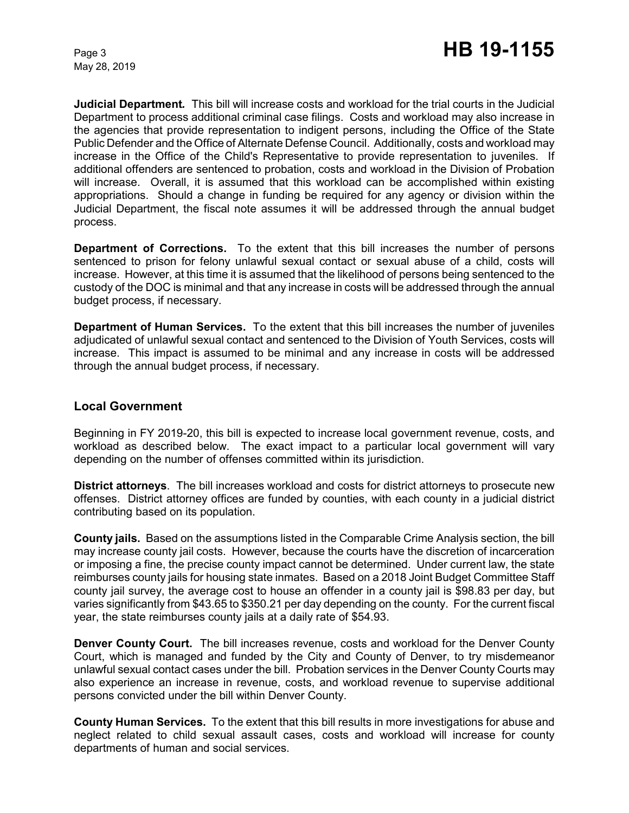May 28, 2019

**Judicial Department***.* This bill will increase costs and workload for the trial courts in the Judicial Department to process additional criminal case filings. Costs and workload may also increase in the agencies that provide representation to indigent persons, including the Office of the State Public Defender and the Office of Alternate Defense Council. Additionally, costs and workload may increase in the Office of the Child's Representative to provide representation to juveniles. If additional offenders are sentenced to probation, costs and workload in the Division of Probation will increase. Overall, it is assumed that this workload can be accomplished within existing appropriations. Should a change in funding be required for any agency or division within the Judicial Department, the fiscal note assumes it will be addressed through the annual budget process.

**Department of Corrections.** To the extent that this bill increases the number of persons sentenced to prison for felony unlawful sexual contact or sexual abuse of a child, costs will increase. However, at this time it is assumed that the likelihood of persons being sentenced to the custody of the DOC is minimal and that any increase in costs will be addressed through the annual budget process, if necessary.

**Department of Human Services.** To the extent that this bill increases the number of juveniles adjudicated of unlawful sexual contact and sentenced to the Division of Youth Services, costs will increase. This impact is assumed to be minimal and any increase in costs will be addressed through the annual budget process, if necessary.

#### **Local Government**

Beginning in FY 2019-20, this bill is expected to increase local government revenue, costs, and workload as described below. The exact impact to a particular local government will vary depending on the number of offenses committed within its jurisdiction.

**District attorneys**. The bill increases workload and costs for district attorneys to prosecute new offenses. District attorney offices are funded by counties, with each county in a judicial district contributing based on its population.

**County jails.** Based on the assumptions listed in the Comparable Crime Analysis section, the bill may increase county jail costs. However, because the courts have the discretion of incarceration or imposing a fine, the precise county impact cannot be determined. Under current law, the state reimburses county jails for housing state inmates. Based on a 2018 Joint Budget Committee Staff county jail survey, the average cost to house an offender in a county jail is \$98.83 per day, but varies significantly from \$43.65 to \$350.21 per day depending on the county. For the current fiscal year, the state reimburses county jails at a daily rate of \$54.93.

**Denver County Court.** The bill increases revenue, costs and workload for the Denver County Court, which is managed and funded by the City and County of Denver, to try misdemeanor unlawful sexual contact cases under the bill. Probation services in the Denver County Courts may also experience an increase in revenue, costs, and workload revenue to supervise additional persons convicted under the bill within Denver County.

**County Human Services.** To the extent that this bill results in more investigations for abuse and neglect related to child sexual assault cases, costs and workload will increase for county departments of human and social services.